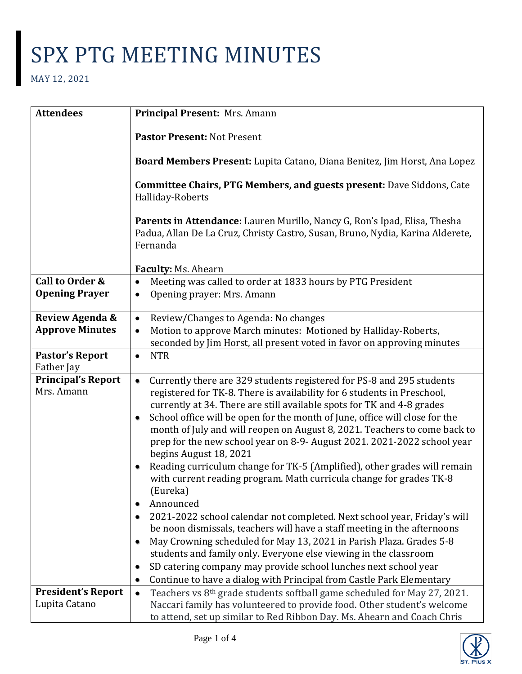| <b>Attendees</b>                         | Principal Present: Mrs. Amann                                                                                                                                           |
|------------------------------------------|-------------------------------------------------------------------------------------------------------------------------------------------------------------------------|
|                                          | Pastor Present: Not Present                                                                                                                                             |
|                                          | Board Members Present: Lupita Catano, Diana Benitez, Jim Horst, Ana Lopez                                                                                               |
|                                          | <b>Committee Chairs, PTG Members, and guests present: Dave Siddons, Cate</b><br>Halliday-Roberts                                                                        |
|                                          | Parents in Attendance: Lauren Murillo, Nancy G, Ron's Ipad, Elisa, Thesha<br>Padua, Allan De La Cruz, Christy Castro, Susan, Bruno, Nydia, Karina Alderete,<br>Fernanda |
|                                          | Faculty: Ms. Ahearn                                                                                                                                                     |
| Call to Order &<br><b>Opening Prayer</b> | Meeting was called to order at 1833 hours by PTG President<br>Opening prayer: Mrs. Amann<br>$\bullet$                                                                   |
| Review Agenda &                          | Review/Changes to Agenda: No changes<br>$\bullet$                                                                                                                       |
| <b>Approve Minutes</b>                   | Motion to approve March minutes: Motioned by Halliday-Roberts,<br>$\bullet$                                                                                             |
|                                          | seconded by Jim Horst, all present voted in favor on approving minutes                                                                                                  |
| <b>Pastor's Report</b><br>Father Jay     | <b>NTR</b><br>$\bullet$                                                                                                                                                 |
| <b>Principal's Report</b>                | Currently there are 329 students registered for PS-8 and 295 students                                                                                                   |
| Mrs. Amann                               | registered for TK-8. There is availability for 6 students in Preschool,                                                                                                 |
|                                          | currently at 34. There are still available spots for TK and 4-8 grades                                                                                                  |
|                                          | School office will be open for the month of June, office will close for the<br>٠                                                                                        |
|                                          | month of July and will reopen on August 8, 2021. Teachers to come back to                                                                                               |
|                                          | prep for the new school year on 8-9- August 2021. 2021-2022 school year                                                                                                 |
|                                          | begins August 18, 2021                                                                                                                                                  |
|                                          | Reading curriculum change for TK-5 (Amplified), other grades will remain                                                                                                |
|                                          | with current reading program. Math curricula change for grades TK-8<br>(Eureka)                                                                                         |
|                                          | Announced                                                                                                                                                               |
|                                          | 2021-2022 school calendar not completed. Next school year, Friday's will                                                                                                |
|                                          | be noon dismissals, teachers will have a staff meeting in the afternoons                                                                                                |
|                                          | May Crowning scheduled for May 13, 2021 in Parish Plaza. Grades 5-8                                                                                                     |
|                                          | students and family only. Everyone else viewing in the classroom                                                                                                        |
|                                          | SD catering company may provide school lunches next school year<br>٠                                                                                                    |
|                                          | Continue to have a dialog with Principal from Castle Park Elementary                                                                                                    |
| <b>President's Report</b>                | Teachers vs 8th grade students softball game scheduled for May 27, 2021.<br>$\bullet$                                                                                   |
| Lupita Catano                            | Naccari family has volunteered to provide food. Other student's welcome                                                                                                 |
|                                          | to attend, set up similar to Red Ribbon Day. Ms. Ahearn and Coach Chris                                                                                                 |

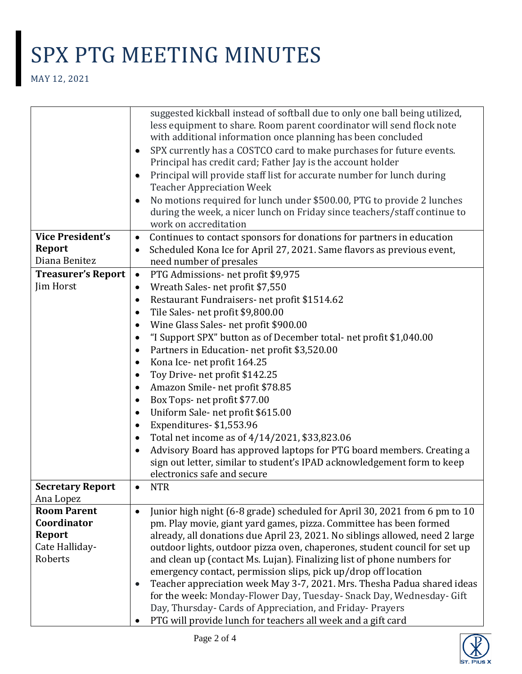|                           | with additional information once planning has been concluded<br>SPX currently has a COSTCO card to make purchases for future events.<br>٠                    |
|---------------------------|--------------------------------------------------------------------------------------------------------------------------------------------------------------|
|                           | Principal has credit card; Father Jay is the account holder                                                                                                  |
|                           | Principal will provide staff list for accurate number for lunch during<br>٠<br><b>Teacher Appreciation Week</b>                                              |
|                           | No motions required for lunch under \$500.00, PTG to provide 2 lunches<br>٠                                                                                  |
|                           | during the week, a nicer lunch on Friday since teachers/staff continue to<br>work on accreditation                                                           |
| <b>Vice President's</b>   | Continues to contact sponsors for donations for partners in education<br>$\bullet$                                                                           |
| <b>Report</b>             | Scheduled Kona Ice for April 27, 2021. Same flavors as previous event,<br>٠                                                                                  |
| Diana Benitez             | need number of presales                                                                                                                                      |
| <b>Treasurer's Report</b> | PTG Admissions- net profit \$9,975<br>$\bullet$                                                                                                              |
| Jim Horst                 | Wreath Sales-net profit \$7,550<br>٠                                                                                                                         |
|                           | Restaurant Fundraisers- net profit \$1514.62<br>٠                                                                                                            |
|                           | Tile Sales-net profit \$9,800.00<br>٠                                                                                                                        |
|                           | Wine Glass Sales- net profit \$900.00<br>٠                                                                                                                   |
|                           | "I Support SPX" button as of December total- net profit \$1,040.00<br>٠                                                                                      |
|                           | Partners in Education- net profit \$3,520.00<br>٠                                                                                                            |
|                           | Kona Ice- net profit 164.25<br>٠                                                                                                                             |
|                           | Toy Drive- net profit \$142.25<br>٠                                                                                                                          |
|                           | Amazon Smile- net profit \$78.85<br>٠                                                                                                                        |
|                           | Box Tops- net profit \$77.00<br>٠                                                                                                                            |
|                           | Uniform Sale-net profit \$615.00<br>٠                                                                                                                        |
|                           | Expenditures-\$1,553.96<br>٠                                                                                                                                 |
|                           | Total net income as of 4/14/2021, \$33,823.06<br>٠                                                                                                           |
|                           | Advisory Board has approved laptops for PTG board members. Creating a<br>$\bullet$                                                                           |
|                           | sign out letter, similar to student's IPAD acknowledgement form to keep                                                                                      |
|                           | electronics safe and secure                                                                                                                                  |
| <b>Secretary Report</b>   | <b>NTR</b><br>٠                                                                                                                                              |
| Ana Lopez                 |                                                                                                                                                              |
| <b>Room Parent</b>        | Junior high night (6-8 grade) scheduled for April 30, 2021 from 6 pm to 10<br>$\bullet$                                                                      |
| Coordinator               | pm. Play movie, giant yard games, pizza. Committee has been formed                                                                                           |
| <b>Report</b>             | already, all donations due April 23, 2021. No siblings allowed, need 2 large                                                                                 |
| Cate Halliday-<br>Roberts | outdoor lights, outdoor pizza oven, chaperones, student council for set up                                                                                   |
|                           | and clean up (contact Ms. Lujan). Finalizing list of phone numbers for                                                                                       |
|                           | emergency contact, permission slips, pick up/drop off location                                                                                               |
|                           | Teacher appreciation week May 3-7, 2021. Mrs. Thesha Padua shared ideas<br>$\bullet$<br>for the week: Monday-Flower Day, Tuesday- Snack Day, Wednesday- Gift |
|                           | Day, Thursday- Cards of Appreciation, and Friday- Prayers                                                                                                    |
|                           | PTG will provide lunch for teachers all week and a gift card                                                                                                 |
|                           |                                                                                                                                                              |

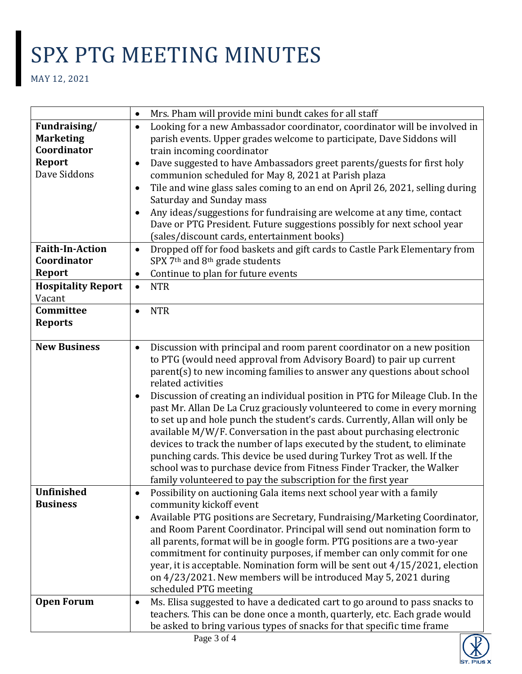|                           | Mrs. Pham will provide mini bundt cakes for all staff<br>$\bullet$                                                                   |
|---------------------------|--------------------------------------------------------------------------------------------------------------------------------------|
| Fundraising/              | Looking for a new Ambassador coordinator, coordinator will be involved in<br>$\bullet$                                               |
| <b>Marketing</b>          | parish events. Upper grades welcome to participate, Dave Siddons will                                                                |
| Coordinator               | train incoming coordinator                                                                                                           |
| <b>Report</b>             | Dave suggested to have Ambassadors greet parents/guests for first holy<br>$\bullet$                                                  |
| Dave Siddons              | communion scheduled for May 8, 2021 at Parish plaza                                                                                  |
|                           | Tile and wine glass sales coming to an end on April 26, 2021, selling during<br>$\bullet$                                            |
|                           | Saturday and Sunday mass                                                                                                             |
|                           | Any ideas/suggestions for fundraising are welcome at any time, contact<br>$\bullet$                                                  |
|                           | Dave or PTG President. Future suggestions possibly for next school year                                                              |
|                           | (sales/discount cards, entertainment books)                                                                                          |
| <b>Faith-In-Action</b>    | Dropped off for food baskets and gift cards to Castle Park Elementary from<br>$\bullet$                                              |
| Coordinator               | SPX 7 <sup>th</sup> and 8 <sup>th</sup> grade students                                                                               |
| <b>Report</b>             | Continue to plan for future events<br>$\bullet$                                                                                      |
| <b>Hospitality Report</b> | <b>NTR</b><br>$\bullet$                                                                                                              |
| Vacant                    |                                                                                                                                      |
| Committee                 | <b>NTR</b><br>$\bullet$                                                                                                              |
| <b>Reports</b>            |                                                                                                                                      |
|                           |                                                                                                                                      |
| <b>New Business</b>       | Discussion with principal and room parent coordinator on a new position<br>$\bullet$                                                 |
|                           | to PTG (would need approval from Advisory Board) to pair up current                                                                  |
|                           | parent(s) to new incoming families to answer any questions about school                                                              |
|                           | related activities                                                                                                                   |
|                           | Discussion of creating an individual position in PTG for Mileage Club. In the<br>$\bullet$                                           |
|                           | past Mr. Allan De La Cruz graciously volunteered to come in every morning                                                            |
|                           | to set up and hole punch the student's cards. Currently, Allan will only be                                                          |
|                           | available M/W/F. Conversation in the past about purchasing electronic                                                                |
|                           | devices to track the number of laps executed by the student, to eliminate                                                            |
|                           | punching cards. This device be used during Turkey Trot as well. If the                                                               |
|                           | school was to purchase device from Fitness Finder Tracker, the Walker                                                                |
|                           | family volunteered to pay the subscription for the first year                                                                        |
| Unfinished                | Possibility on auctioning Gala items next school year with a family<br>$\bullet$                                                     |
| <b>Business</b>           | community kickoff event                                                                                                              |
|                           | Available PTG positions are Secretary, Fundraising/Marketing Coordinator,                                                            |
|                           | and Room Parent Coordinator. Principal will send out nomination form to                                                              |
|                           | all parents, format will be in google form. PTG positions are a two-year                                                             |
|                           | commitment for continuity purposes, if member can only commit for one                                                                |
|                           | year, it is acceptable. Nomination form will be sent out 4/15/2021, election                                                         |
|                           | on 4/23/2021. New members will be introduced May 5, 2021 during<br>scheduled PTG meeting                                             |
| <b>Open Forum</b>         |                                                                                                                                      |
|                           | Ms. Elisa suggested to have a dedicated cart to go around to pass snacks to<br>$\bullet$                                             |
|                           | teachers. This can be done once a month, quarterly, etc. Each grade would                                                            |
|                           | be asked to bring various types of snacks for that specific time frame<br>$\mathbf{D}_{\mathbf{0}\mathbf{0}}\mathbf{2}$ of $\Lambda$ |